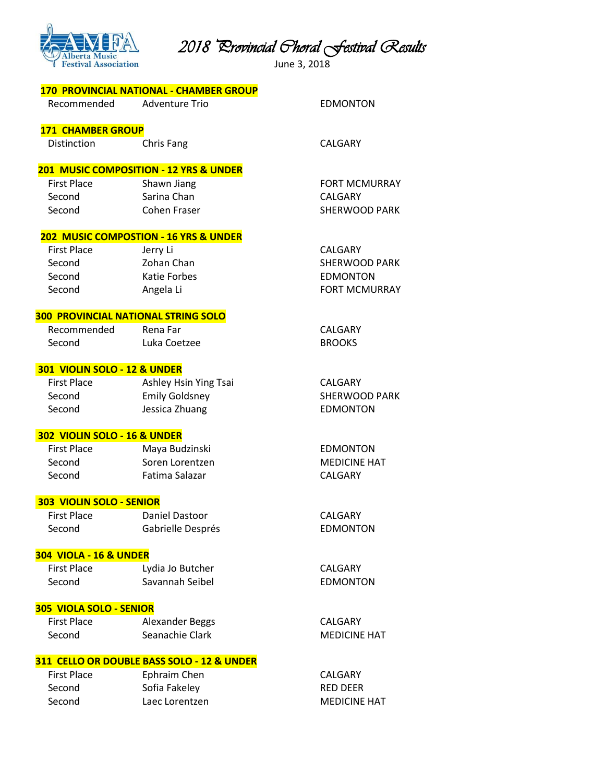

*2018 Provincial Choral Festival Results* 

June 3, 2018

| <b>170 PROVINCIAL NATIONAL - CHAMBER GROUP</b> |  |  |
|------------------------------------------------|--|--|
|------------------------------------------------|--|--|

Recommended Adventure Trio EDMONTON

**EDMONTON MEDICINE HAT** 

CALGARY **EDMONTON** 

**MEDICINE HAT** 

# **171 CHAMBER GROUP**

Distinction Chris Fang CALGARY

# **201 MUSIC COMPOSITION - 12 YRS & UNDER**

| <b>First Place</b><br>Shawn Jiang | <b>FORT MCMURRAY</b> |
|-----------------------------------|----------------------|
| Sarina Chan<br>Second             | CALGARY              |
| Second<br>Cohen Fraser            | SHERWOOD PARK        |

# **202 MUSIC COMPOSTION - 16 YRS & UNDER**

| <b>First Place</b> | Jerry Li     | CALGARY              |
|--------------------|--------------|----------------------|
| Second             | Zohan Chan   | <b>SHERWOOD PARK</b> |
| Second             | Katie Forbes | EDMONTON             |
| Second             | Angela Li    | <b>FORT MCMURRAY</b> |

# **300 PROVINCIAL NATIONAL STRING SOLO**

Recommended Rena Far CALGARY Second Luka Coetzee BROOKS

#### **301 VIOLIN SOLO - 12 & UNDER**

| <b>First Place</b> | Ashley Hsin Ying Tsai | CALGARY              |
|--------------------|-----------------------|----------------------|
| Second             | <b>Emily Goldsney</b> | <b>SHERWOOD PARK</b> |
| Second             | Jessica Zhuang        | EDMONTON             |

#### **302 VIOLIN SOLO - 16 & UNDER**

| <b>First Place</b> | Maya Budzinski  | EDMONT         |
|--------------------|-----------------|----------------|
| Second             | Soren Lorentzen | <b>MEDICIN</b> |
| Second             | Fatima Salazar  | CALGARY        |

### **303 VIOLIN SOLO - SENIOR**

| <b>First Place</b> | Daniel Dastoor    |
|--------------------|-------------------|
| Second             | Gabrielle Després |

### **304 VIOLA - 16 & UNDER**

| <b>First Place</b> | Lydia Jo Butcher | CALGARY  |
|--------------------|------------------|----------|
| Second             | Savannah Seibel  | EDMONTON |

### **305 VIOLA SOLO - SENIOR**

| <b>First Place</b> | Alexander Beggs | CALGARY        |
|--------------------|-----------------|----------------|
| Second             | Seanachie Clark | <b>MEDICIN</b> |

### **311 CELLO OR DOUBLE BASS SOLO - 12 & UNDER**

| First Place | Ephraim Chen   | CALGARY             |
|-------------|----------------|---------------------|
| Second      | Sofia Fakeley  | RED DEER            |
| Second      | Laec Lorentzen | <b>MEDICINE HAT</b> |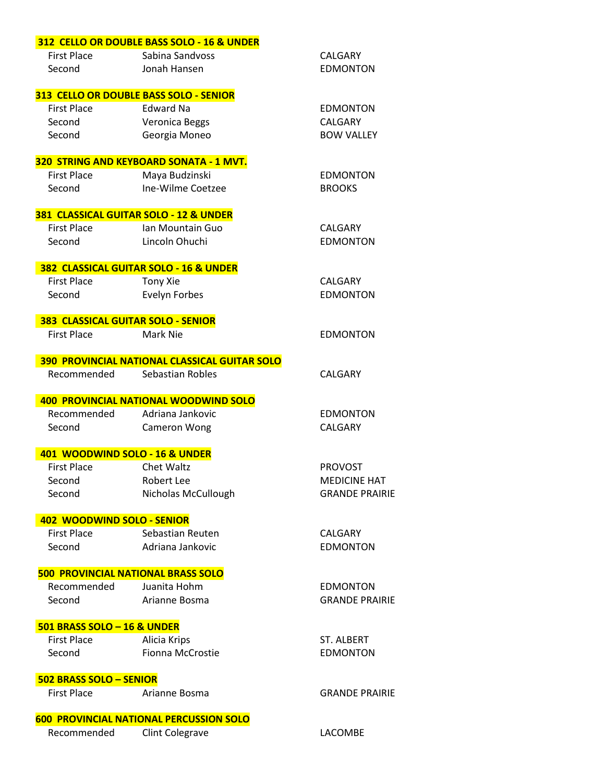|                                    | 312 CELLO OR DOUBLE BASS SOLO - 16 & UNDER     |                       |
|------------------------------------|------------------------------------------------|-----------------------|
| <b>First Place</b>                 | Sabina Sandvoss                                | CALGARY               |
| Second                             | Jonah Hansen                                   | <b>EDMONTON</b>       |
|                                    |                                                |                       |
|                                    | 313 CELLO OR DOUBLE BASS SOLO - SENIOR         |                       |
| <b>First Place</b>                 | Edward Na                                      | <b>EDMONTON</b>       |
| Second                             | Veronica Beggs                                 | CALGARY               |
| Second                             | Georgia Moneo                                  | <b>BOW VALLEY</b>     |
|                                    | 320 STRING AND KEYBOARD SONATA - 1 MVT.        |                       |
| <b>First Place</b>                 | Maya Budzinski                                 | <b>EDMONTON</b>       |
| Second                             | Ine-Wilme Coetzee                              | <b>BROOKS</b>         |
|                                    |                                                |                       |
|                                    | 381 CLASSICAL GUITAR SOLO - 12 & UNDER         |                       |
| <b>First Place</b>                 | Ian Mountain Guo                               | <b>CALGARY</b>        |
| Second                             | Lincoln Ohuchi                                 | <b>EDMONTON</b>       |
|                                    | 382 CLASSICAL GUITAR SOLO - 16 & UNDER         |                       |
| <b>First Place</b>                 | Tony Xie                                       | <b>CALGARY</b>        |
| Second                             | Evelyn Forbes                                  | <b>EDMONTON</b>       |
|                                    |                                                |                       |
| 383 CLASSICAL GUITAR SOLO - SENIOR |                                                |                       |
| <b>First Place</b>                 | Mark Nie                                       | <b>EDMONTON</b>       |
|                                    | 390 PROVINCIAL NATIONAL CLASSICAL GUITAR SOLO  |                       |
| Recommended                        | Sebastian Robles                               | <b>CALGARY</b>        |
|                                    |                                                |                       |
|                                    | <b>400 PROVINCIAL NATIONAL WOODWIND SOLO</b>   |                       |
| Recommended                        | Adriana Jankovic                               | <b>EDMONTON</b>       |
| Second                             | <b>Cameron Wong</b>                            | CALGARY               |
| 401 WOODWIND SOLO - 16 & UNDER     |                                                |                       |
| <b>First Place</b>                 | Chet Waltz                                     | <b>PROVOST</b>        |
| Second                             | <b>Robert Lee</b>                              | <b>MEDICINE HAT</b>   |
| Second                             | Nicholas McCullough                            | <b>GRANDE PRAIRIE</b> |
|                                    |                                                |                       |
| 402 WOODWIND SOLO - SENIOR         |                                                |                       |
| <b>First Place</b>                 | Sebastian Reuten                               | <b>CALGARY</b>        |
| Second                             | Adriana Jankovic                               | <b>EDMONTON</b>       |
|                                    | <b>500 PROVINCIAL NATIONAL BRASS SOLO</b>      |                       |
| Recommended                        | Juanita Hohm                                   | <b>EDMONTON</b>       |
| Second                             | Arianne Bosma                                  | <b>GRANDE PRAIRIE</b> |
|                                    |                                                |                       |
| 501 BRASS SOLO - 16 & UNDER        |                                                |                       |
| <b>First Place</b>                 | Alicia Krips                                   | <b>ST. ALBERT</b>     |
| Second                             | Fionna McCrostie                               | <b>EDMONTON</b>       |
| 502 BRASS SOLO - SENIOR            |                                                |                       |
| <b>First Place</b>                 | Arianne Bosma                                  | <b>GRANDE PRAIRIE</b> |
|                                    |                                                |                       |
|                                    | <b>600 PROVINCIAL NATIONAL PERCUSSION SOLO</b> |                       |
| Recommended                        | <b>Clint Colegrave</b>                         | LACOMBE               |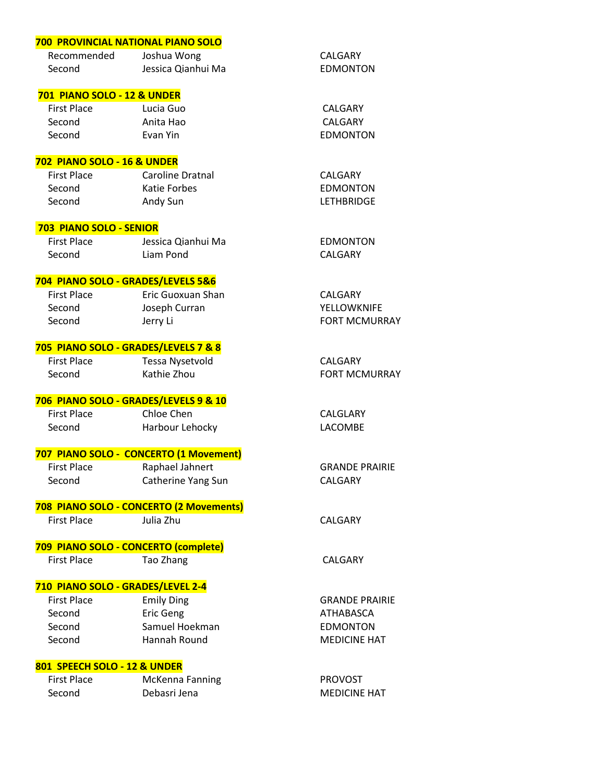|                                        | 700 PROVINCIAL NATIONAL PIANO SOLO      |                       |
|----------------------------------------|-----------------------------------------|-----------------------|
| Recommended                            | Joshua Wong                             | CALGARY               |
| Second                                 | Jessica Qianhui Ma                      | <b>EDMONTON</b>       |
| <b>701 PIANO SOLO - 12 &amp; UNDER</b> |                                         |                       |
| <b>First Place</b>                     | Lucia Guo                               | CALGARY               |
| Second                                 | Anita Hao                               | CALGARY               |
| Second                                 | Evan Yin                                | <b>EDMONTON</b>       |
| 702 PIANO SOLO - 16 & UNDER            |                                         |                       |
| <b>First Place</b>                     | Caroline Dratnal                        | CALGARY               |
| Second                                 | <b>Katie Forbes</b>                     | <b>EDMONTON</b>       |
| Second                                 | Andy Sun                                | <b>LETHBRIDGE</b>     |
| 703 PIANO SOLO - SENIOR                |                                         |                       |
| <b>First Place</b>                     | Jessica Qianhui Ma                      | <b>EDMONTON</b>       |
| Second                                 | Liam Pond                               | CALGARY               |
|                                        | 704 PIANO SOLO - GRADES/LEVELS 5&6      |                       |
| <b>First Place</b>                     | Eric Guoxuan Shan                       | CALGARY               |
| Second                                 | Joseph Curran                           | YELLOWKNIFE           |
| Second                                 | Jerry Li                                | <b>FORT MCMURRAY</b>  |
|                                        | 705 PIANO SOLO - GRADES/LEVELS 7 & 8    |                       |
| <b>First Place</b>                     | Tessa Nysetvold                         | CALGARY               |
| Second                                 | Kathie Zhou                             | <b>FORT MCMURRAY</b>  |
|                                        | 706 PIANO SOLO - GRADES/LEVELS 9 & 10   |                       |
| <b>First Place</b>                     | Chloe Chen                              | CALGLARY              |
| Second                                 | Harbour Lehocky                         | LACOMBE               |
|                                        | 707 PIANO SOLO - CONCERTO (1 Movement)  |                       |
| <b>First Place</b>                     | Raphael Jahnert                         | <b>GRANDE PRAIRIE</b> |
| Second                                 | Catherine Yang Sun                      | CALGARY               |
|                                        | 708 PIANO SOLO - CONCERTO (2 Movements) |                       |
| <b>First Place</b>                     | Julia Zhu                               | CALGARY               |
|                                        | 709 PIANO SOLO - CONCERTO (complete)    |                       |
| <b>First Place</b>                     | Tao Zhang                               | <b>CALGARY</b>        |
| 710 PIANO SOLO - GRADES/LEVEL 2-4      |                                         |                       |
| <b>First Place</b>                     | <b>Emily Ding</b>                       | <b>GRANDE PRAIRIE</b> |
| Second                                 | <b>Eric Geng</b>                        | ATHABASCA             |
| Second                                 | Samuel Hoekman                          | <b>EDMONTON</b>       |
| Second                                 | Hannah Round                            | <b>MEDICINE HAT</b>   |
| 801 SPEECH SOLO - 12 & UNDER           |                                         |                       |
| <b>First Place</b>                     | McKenna Fanning                         | <b>PROVOST</b>        |
| Second                                 | Debasri Jena                            | <b>MEDICINE HAT</b>   |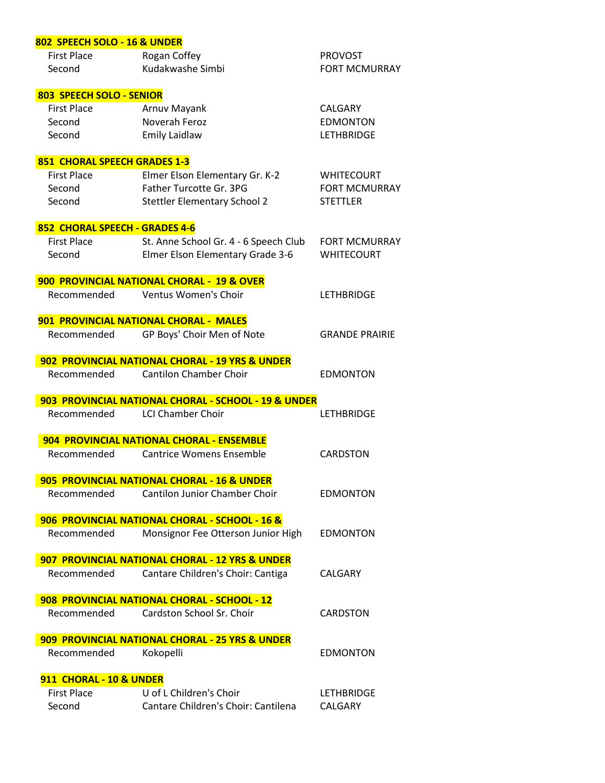| 802 SPEECH SOLO - 16 & UNDER   |                                                      |                       |
|--------------------------------|------------------------------------------------------|-----------------------|
| <b>First Place</b>             | Rogan Coffey                                         | <b>PROVOST</b>        |
| Second                         | Kudakwashe Simbi                                     | <b>FORT MCMURRAY</b>  |
|                                |                                                      |                       |
| 803 SPEECH SOLO - SENIOR       |                                                      |                       |
| <b>First Place</b>             | Arnuv Mayank                                         | CALGARY               |
| Second                         | Noverah Feroz                                        | <b>EDMONTON</b>       |
| Second                         | <b>Emily Laidlaw</b>                                 | <b>LETHBRIDGE</b>     |
| 851 CHORAL SPEECH GRADES 1-3   |                                                      |                       |
| <b>First Place</b>             | Elmer Elson Elementary Gr. K-2                       | <b>WHITECOURT</b>     |
| Second                         | Father Turcotte Gr. 3PG                              | <b>FORT MCMURRAY</b>  |
| Second                         | <b>Stettler Elementary School 2</b>                  | <b>STETTLER</b>       |
|                                |                                                      |                       |
| 852 CHORAL SPEECH - GRADES 4-6 |                                                      |                       |
| <b>First Place</b>             | St. Anne School Gr. 4 - 6 Speech Club                | <b>FORT MCMURRAY</b>  |
| Second                         | Elmer Elson Elementary Grade 3-6                     | <b>WHITECOURT</b>     |
|                                | 900 PROVINCIAL NATIONAL CHORAL - 19 & OVER           |                       |
|                                | Recommended Ventus Women's Choir                     | <b>LETHBRIDGE</b>     |
|                                |                                                      |                       |
|                                | 901 PROVINCIAL NATIONAL CHORAL - MALES               |                       |
| Recommended                    | GP Boys' Choir Men of Note                           | <b>GRANDE PRAIRIE</b> |
|                                | 902 PROVINCIAL NATIONAL CHORAL - 19 YRS & UNDER      |                       |
| Recommended                    | <b>Cantilon Chamber Choir</b>                        | <b>EDMONTON</b>       |
|                                |                                                      |                       |
|                                | 903 PROVINCIAL NATIONAL CHORAL - SCHOOL - 19 & UNDER |                       |
| Recommended                    | <b>LCI Chamber Choir</b>                             | <b>LETHBRIDGE</b>     |
|                                |                                                      |                       |
|                                | 904 PROVINCIAL NATIONAL CHORAL - ENSEMBLE            |                       |
| Recommended                    | <b>Cantrice Womens Ensemble</b>                      | <b>CARDSTON</b>       |
|                                |                                                      |                       |
|                                | 905 PROVINCIAL NATIONAL CHORAL - 16 & UNDER          |                       |
| Recommended                    | Cantilon Junior Chamber Choir                        | <b>EDMONTON</b>       |
|                                | 906 PROVINCIAL NATIONAL CHORAL - SCHOOL - 16 &       |                       |
| Recommended                    | Monsignor Fee Otterson Junior High                   | <b>EDMONTON</b>       |
|                                |                                                      |                       |
|                                | 907 PROVINCIAL NATIONAL CHORAL - 12 YRS & UNDER      |                       |
| Recommended                    | Cantare Children's Choir: Cantiga                    | CALGARY               |
|                                | 908 PROVINCIAL NATIONAL CHORAL - SCHOOL - 12         |                       |
| Recommended                    | Cardston School Sr. Choir                            | <b>CARDSTON</b>       |
|                                |                                                      |                       |
|                                | 909 PROVINCIAL NATIONAL CHORAL - 25 YRS & UNDER      |                       |
| Recommended                    | Kokopelli                                            | <b>EDMONTON</b>       |
| 911 CHORAL - 10 & UNDER        |                                                      |                       |
| First Place                    | U of L Children's Choir                              | <b>LETHBRIDGE</b>     |

Second Cantare Children's Choir: Cantilena CALGARY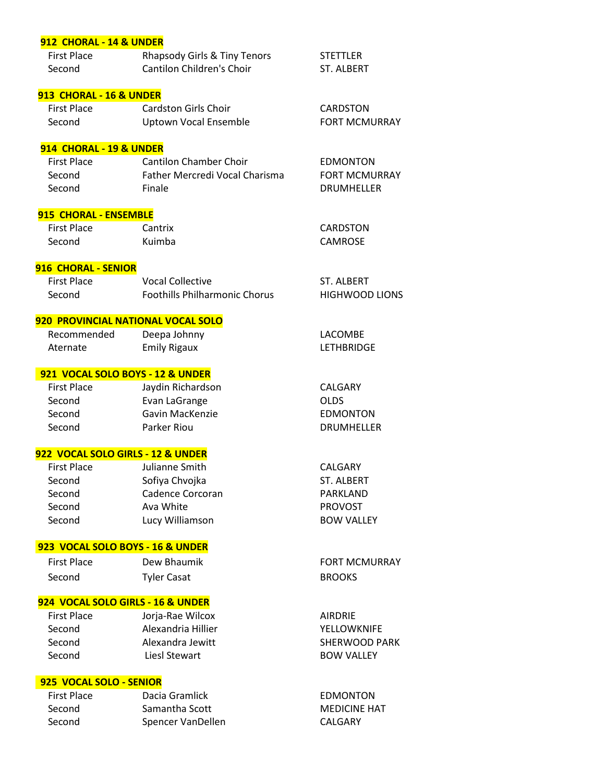### **912 CHORAL - 14 & UNDER**

| <b>First Place</b> | Rhapsody Girls & Tiny Tenors | STETTLER   |
|--------------------|------------------------------|------------|
| Second             | Cantilon Children's Choir    | ST. ALBERT |

### **913 CHORAL - 16 & UNDER**

| First Place | Cardston Girls Choir  | CARDSTON             |
|-------------|-----------------------|----------------------|
| Second      | Uptown Vocal Ensemble | <b>FORT MCMURRAY</b> |

**EDMONTON** FORT MCMURRAY DRUMHELLER

### **914 CHORAL - 19 & UNDER**

| <b>First Place</b> | <b>Cantilon Chamber Choir</b>         |
|--------------------|---------------------------------------|
| Second             | <b>Father Mercredi Vocal Charisma</b> |
| Second             | Finale                                |

# **915 CHORAL - ENSEMBLE**

| First Place | Cantrix | CARDSTON |
|-------------|---------|----------|
| Second      | Kuimba  | CAMROSE  |

# **916 CHORAL - SENIOR**

| <b>First Place</b> | <b>Vocal Collective</b>              | ST. ALBERT            |
|--------------------|--------------------------------------|-----------------------|
| Second             | <b>Foothills Philharmonic Chorus</b> | <b>HIGHWOOD LIONS</b> |

# **920 PROVINCIAL NATIONAL VOCAL SOLO**

Recommended Deepa Johnny LACOMBE Aternate Emily Rigaux Emily Rigaux LETHBRIDGE

# **921 VOCAL SOLO BOYS - 12 & UNDER**

| <b>First Place</b> | Jaydin Richardson | CALGARY           |
|--------------------|-------------------|-------------------|
| Second             | Evan LaGrange     | <b>OLDS</b>       |
| Second             | Gavin MacKenzie   | <b>EDMONTON</b>   |
| Second             | Parker Riou       | <b>DRUMHELLER</b> |
|                    |                   |                   |

### **922 VOCAL SOLO GIRLS - 12 & UNDER**

| <b>BOW VALLEY</b> |
|-------------------|

# **923 VOCAL SOLO BOYS - 16 & UNDER**

| <b>First Place</b> | Dew Bhaumik        | <b>FORT MCMURRAY</b> |
|--------------------|--------------------|----------------------|
| Second             | <b>Tyler Casat</b> | <b>BROOKS</b>        |

# **924 VOCAL SOLO GIRLS - 16 & UNDER**

| <b>First Place</b> | Jorja-Rae Wilcox   | <b>AIRDRIF</b>       |
|--------------------|--------------------|----------------------|
| Second             | Alexandria Hillier | YELLOWKNIFE          |
| Second             | Alexandra Jewitt   | <b>SHERWOOD PARK</b> |
| Second             | Liesl Stewart      | <b>BOW VALLEY</b>    |
|                    |                    |                      |

### **925 VOCAL SOLO - SENIOR**

| First Place | Dacia Gramlick    | EDMONTON            |
|-------------|-------------------|---------------------|
| Second      | Samantha Scott    | <b>MEDICINE HAT</b> |
| Second      | Spencer VanDellen | CALGARY             |